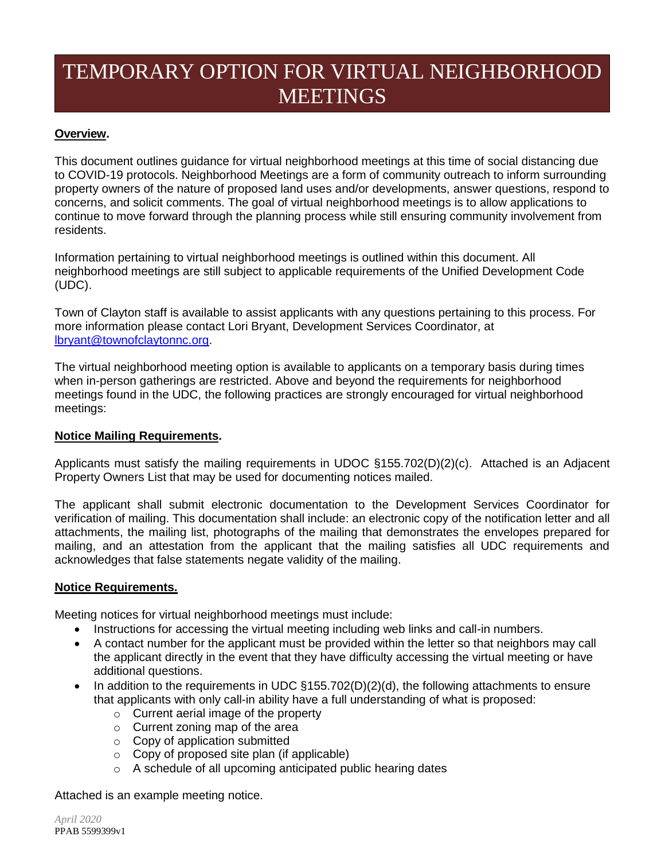# TEMPORARY OPTION FOR VIRTUAL NEIGHBORHOOD **MEETINGS**

### **Overview.**

This document outlines guidance for virtual neighborhood meetings at this time of social distancing due to COVID-19 protocols. Neighborhood Meetings are a form of community outreach to inform surrounding property owners of the nature of proposed land uses and/or developments, answer questions, respond to concerns, and solicit comments. The goal of virtual neighborhood meetings is to allow applications to continue to move forward through the planning process while still ensuring community involvement from residents.

Information pertaining to virtual neighborhood meetings is outlined within this document. All neighborhood meetings are still subject to applicable requirements of the Unified Development Code (UDC).

Town of Clayton staff is available to assist applicants with any questions pertaining to this process. For more information please contact Lori Bryant, Development Services Coordinator, at [lbryant@townofclaytonnc.org.](mailto:lbryant@townofclaytonnc.org)

The virtual neighborhood meeting option is available to applicants on a temporary basis during times when in-person gatherings are restricted. Above and beyond the requirements for neighborhood meetings found in the UDC, the following practices are strongly encouraged for virtual neighborhood meetings:

### **Notice Mailing Requirements.**

Applicants must satisfy the mailing requirements in UDOC §155.702(D)(2)(c). Attached is an Adjacent Property Owners List that may be used for documenting notices mailed.

The applicant shall submit electronic documentation to the Development Services Coordinator for verification of mailing. This documentation shall include: an electronic copy of the notification letter and all attachments, the mailing list, photographs of the mailing that demonstrates the envelopes prepared for mailing, and an attestation from the applicant that the mailing satisfies all UDC requirements and acknowledges that false statements negate validity of the mailing.

### **Notice Requirements.**

Meeting notices for virtual neighborhood meetings must include:

- Instructions for accessing the virtual meeting including web links and call-in numbers.
- A contact number for the applicant must be provided within the letter so that neighbors may call the applicant directly in the event that they have difficulty accessing the virtual meeting or have additional questions.
- In addition to the requirements in UDC §155.702(D)(2)(d), the following attachments to ensure that applicants with only call-in ability have a full understanding of what is proposed:
	- o Current aerial image of the property
	- o Current zoning map of the area
	- o Copy of application submitted
	- o Copy of proposed site plan (if applicable)
	- o A schedule of all upcoming anticipated public hearing dates

Attached is an example meeting notice.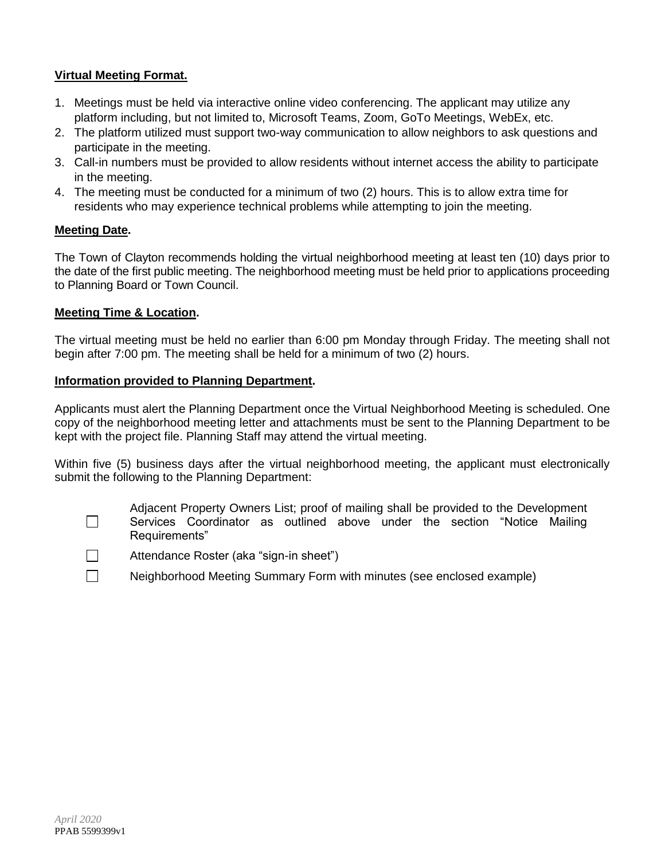### **Virtual Meeting Format.**

- 1. Meetings must be held via interactive online video conferencing. The applicant may utilize any platform including, but not limited to, Microsoft Teams, Zoom, GoTo Meetings, WebEx, etc.
- 2. The platform utilized must support two-way communication to allow neighbors to ask questions and participate in the meeting.
- 3. Call-in numbers must be provided to allow residents without internet access the ability to participate in the meeting.
- 4. The meeting must be conducted for a minimum of two (2) hours. This is to allow extra time for residents who may experience technical problems while attempting to join the meeting.

### **Meeting Date.**

The Town of Clayton recommends holding the virtual neighborhood meeting at least ten (10) days prior to the date of the first public meeting. The neighborhood meeting must be held prior to applications proceeding to Planning Board or Town Council.

### **Meeting Time & Location.**

The virtual meeting must be held no earlier than 6:00 pm Monday through Friday. The meeting shall not begin after 7:00 pm. The meeting shall be held for a minimum of two (2) hours.

#### **Information provided to Planning Department.**

Applicants must alert the Planning Department once the Virtual Neighborhood Meeting is scheduled. One copy of the neighborhood meeting letter and attachments must be sent to the Planning Department to be kept with the project file. Planning Staff may attend the virtual meeting.

Within five (5) business days after the virtual neighborhood meeting, the applicant must electronically submit the following to the Planning Department:

 $\Box$ 

Adjacent Property Owners List; proof of mailing shall be provided to the Development Services Coordinator as outlined above under the section "Notice Mailing Requirements"



- Attendance Roster (aka "sign-in sheet")
- Neighborhood Meeting Summary Form with minutes (see enclosed example)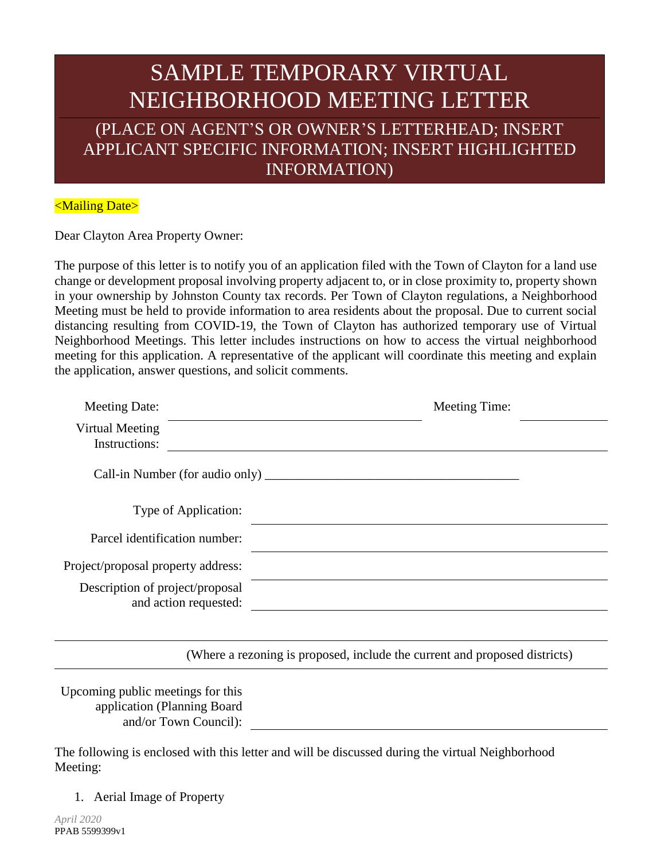## SAMPLE TEMPORARY VIRTUAL NEIGHBORHOOD MEETING LETTER (PLACE ON AGENT'S OR OWNER'S LETTERHEAD; INSERT APPLICANT SPECIFIC INFORMATION; INSERT HIGHLIGHTED INFORMATION)

### <Mailing Date>

Dear Clayton Area Property Owner:

The purpose of this letter is to notify you of an application filed with the Town of Clayton for a land use change or development proposal involving property adjacent to, or in close proximity to, property shown in your ownership by Johnston County tax records. Per Town of Clayton regulations, a Neighborhood Meeting must be held to provide information to area residents about the proposal. Due to current social distancing resulting from COVID-19, the Town of Clayton has authorized temporary use of Virtual Neighborhood Meetings. This letter includes instructions on how to access the virtual neighborhood meeting for this application. A representative of the applicant will coordinate this meeting and explain the application, answer questions, and solicit comments.

| <b>Meeting Date:</b>                                     | Meeting Time:                                                              |
|----------------------------------------------------------|----------------------------------------------------------------------------|
| Virtual Meeting<br>Instructions:                         |                                                                            |
|                                                          |                                                                            |
| Type of Application:                                     |                                                                            |
| Parcel identification number:                            |                                                                            |
| Project/proposal property address:                       |                                                                            |
| Description of project/proposal<br>and action requested: |                                                                            |
|                                                          |                                                                            |
|                                                          | (Where a rezoning is proposed, include the current and proposed districts) |

Upcoming public meetings for this application (Planning Board and/or Town Council):

The following is enclosed with this letter and will be discussed during the virtual Neighborhood Meeting:

1. Aerial Image of Property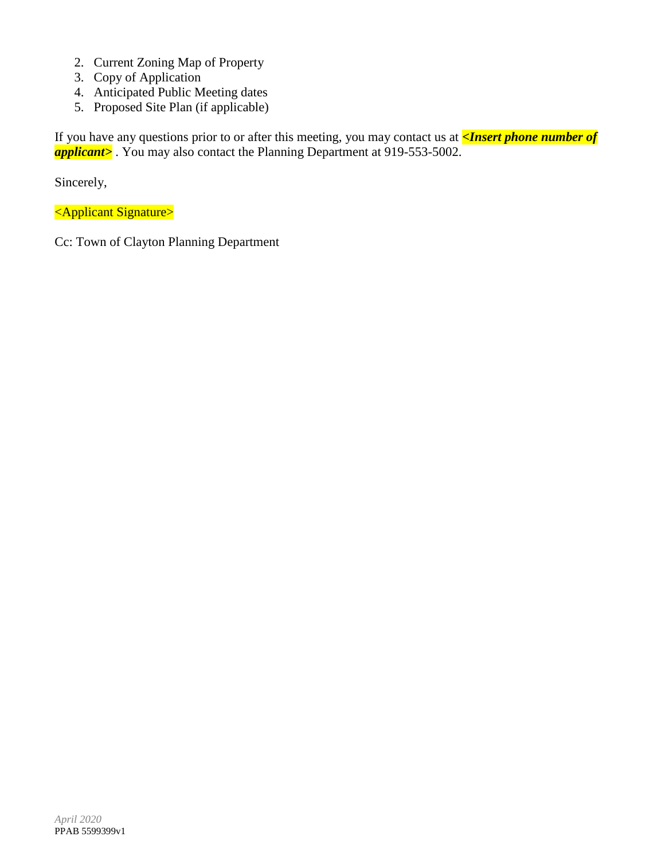- 2. Current Zoning Map of Property
- 3. Copy of Application
- 4. Anticipated Public Meeting dates
- 5. Proposed Site Plan (if applicable)

If you have any questions prior to or after this meeting, you may contact us at *<Insert phone number of*  **applicant>**. You may also contact the Planning Department at 919-553-5002.

Sincerely,

<Applicant Signature>

Cc: Town of Clayton Planning Department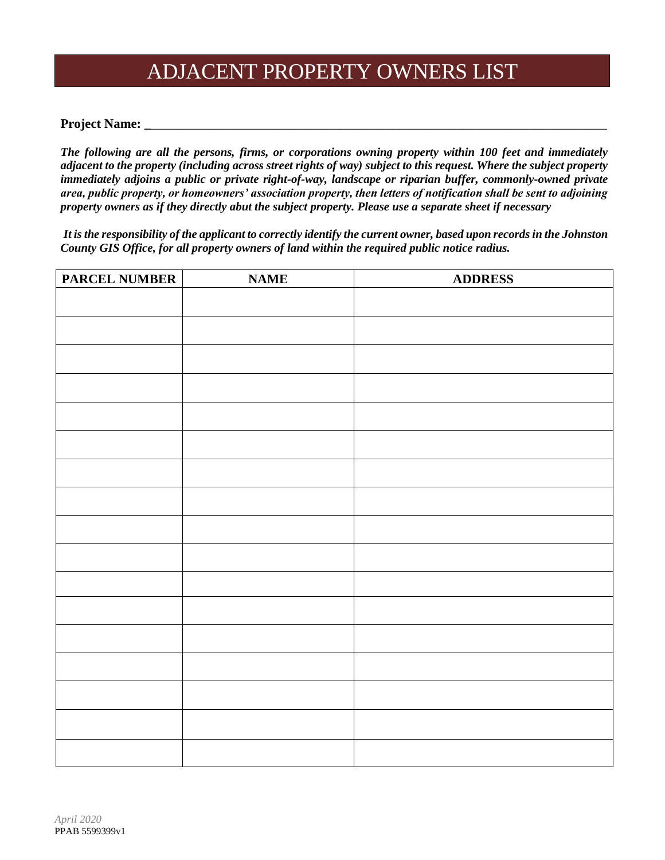### ADJACENT PROPERTY OWNERS LIST

#### **Project Name: \_**\_\_\_\_\_\_\_\_\_\_\_\_\_\_\_\_\_\_\_\_\_\_\_\_\_\_\_\_\_\_\_\_\_\_\_\_\_\_\_\_\_\_\_\_\_\_\_\_\_\_\_\_\_\_\_\_\_\_\_\_\_\_\_\_\_\_\_\_\_\_

*The following are all the persons, firms, or corporations owning property within 100 feet and immediately adjacent to the property (including across street rights of way) subject to this request. Where the subject property immediately adjoins a public or private right-of-way, landscape or riparian buffer, commonly-owned private area, public property, or homeowners' association property, then letters of notification shall be sent to adjoining property owners as if they directly abut the subject property. Please use a separate sheet if necessary*

*It isthe responsibility of the applicant to correctly identify the current owner, based upon records in the Johnston County GIS Office, for all property owners of land within the required public notice radius.*

| <b>PARCEL NUMBER</b> | <b>NAME</b> | <b>ADDRESS</b> |
|----------------------|-------------|----------------|
|                      |             |                |
|                      |             |                |
|                      |             |                |
|                      |             |                |
|                      |             |                |
|                      |             |                |
|                      |             |                |
|                      |             |                |
|                      |             |                |
|                      |             |                |
|                      |             |                |
|                      |             |                |
|                      |             |                |
|                      |             |                |
|                      |             |                |
|                      |             |                |
|                      |             |                |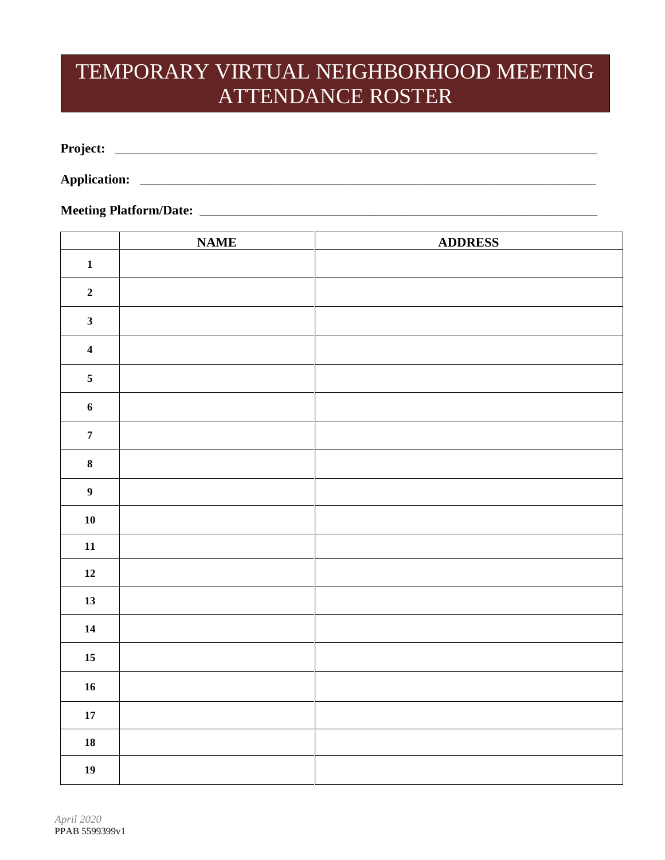## TEMPORARY VIRTUAL NEIGHBORHOOD MEETING ATTENDANCE ROSTER

**Project:** \_\_\_\_\_\_\_\_\_\_\_\_\_\_\_\_\_\_\_\_\_\_\_\_\_\_\_\_\_\_\_\_\_\_\_\_\_\_\_\_\_\_\_\_\_\_\_\_\_\_\_\_\_\_\_\_\_\_\_\_\_\_\_\_\_\_\_\_\_\_\_\_\_\_

**Application:** \_\_\_\_\_\_\_\_\_\_\_\_\_\_\_\_\_\_\_\_\_\_\_\_\_\_\_\_\_\_\_\_\_\_\_\_\_\_\_\_\_\_\_\_\_\_\_\_\_\_\_\_\_\_\_\_\_\_\_\_\_\_\_\_\_\_\_\_\_\_

### **Meeting Platform/Date:** \_\_\_\_\_\_\_\_\_\_\_\_\_\_\_\_\_\_\_\_\_\_\_\_\_\_\_\_\_\_\_\_\_\_\_\_\_\_\_\_\_\_\_\_\_\_\_\_\_\_\_\_\_\_\_\_\_\_\_\_\_

|                         | <b>NAME</b> | <b>ADDRESS</b> |
|-------------------------|-------------|----------------|
| $\mathbf 1$             |             |                |
| $\overline{\mathbf{2}}$ |             |                |
| $\overline{\mathbf{3}}$ |             |                |
| $\overline{\mathbf{4}}$ |             |                |
| $\sqrt{5}$              |             |                |
| $\boldsymbol{6}$        |             |                |
| $\boldsymbol{7}$        |             |                |
| $\bf 8$                 |             |                |
| $\boldsymbol{9}$        |             |                |
| ${\bf 10}$              |             |                |
| ${\bf 11}$              |             |                |
| $\bf 12$                |             |                |
| 13                      |             |                |
| 14                      |             |                |
| $15\,$                  |             |                |
| ${\bf 16}$              |             |                |
| $\bf 17$                |             |                |
| ${\bf 18}$              |             |                |
| 19                      |             |                |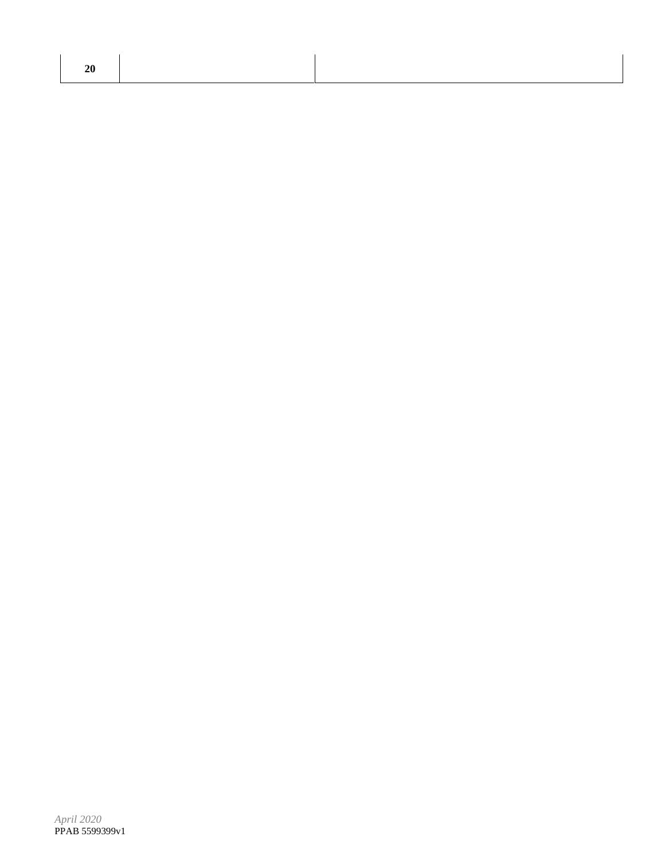| <b>20</b> |  |  |
|-----------|--|--|
|           |  |  |